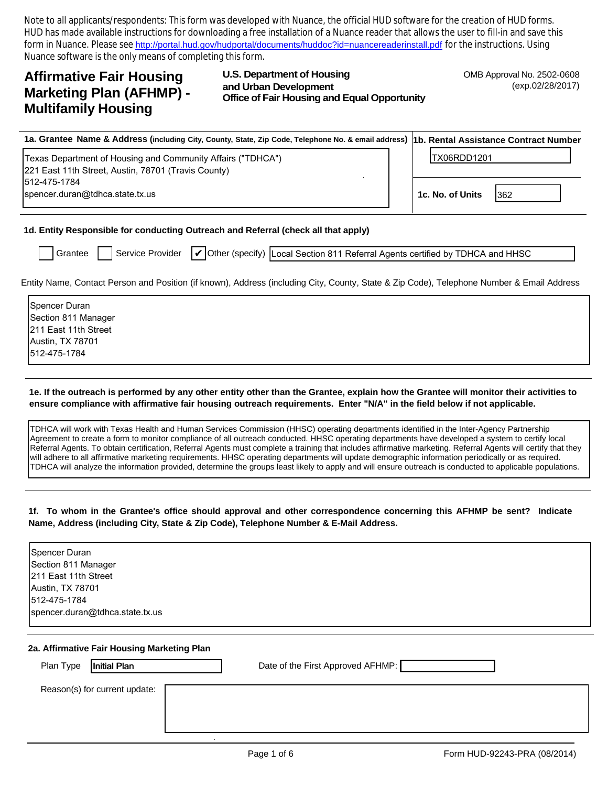Note to all applicants/respondents: This form was developed with Nuance, the official HUD software for the creation of HUD forms. HUD has made available instructions for downloading a free installation of a Nuance reader that allows the user to fill-in and save this form in Nuance. Please see http://portal.hud.gov/hudportal/documents/huddoc?id=nuancereaderinstall.pdf for the instructions. Using Nuance software is the only means of completing this form.

# **Affirmative Fair Housing Marketing Plan (AFHMP) -Multifamily Housing**

**U.S. Department of Housing** and Urban Development **Office of Fair Housing and Equal Opportunity**  OMB Approval No. 2502-0608 (exp.02/28/2017)

| 1a. Grantee Name & Address (including City, County, State, Zip Code, Telephone No. & email address) 1b. Rental Assistance Contract Number |                  |             |  |
|-------------------------------------------------------------------------------------------------------------------------------------------|------------------|-------------|--|
| Texas Department of Housing and Community Affairs ("TDHCA")<br>221 East 11th Street, Austin, 78701 (Travis County)                        | ITX06RDD1201     |             |  |
| 1512-475-1784<br>spencer.duran@tdhca.state.tx.us                                                                                          | 1c. No. of Units | <b>1362</b> |  |

1d. Entity Responsible for conducting Outreach and Referral (check all that apply)

|  | I Grantee | I Service Provider | $\mathcal{U}$ Other |
|--|-----------|--------------------|---------------------|
|  |           |                    |                     |

(specify) Local Section 811 Referral Agents certified by TDHCA and HHSC

Entity Name, Contact Person and Position (if known), Address (including City, County, State & Zip Code), Telephone Number & Email Address

| Spencer Duran        |
|----------------------|
| Section 811 Manager  |
| 211 East 11th Street |
| Austin, TX 78701     |
| 512-475-1784         |
|                      |

### 1e. If the outreach is performed by any other entity other than the Grantee, explain how the Grantee will monitor their activities to ensure compliance with affirmative fair housing outreach requirements. Enter "N/A" in the field below if not applicable.

TDHCA will work with Texas Health and Human Services Commission (HHSC) operating departments identified in the Inter-Agency Partnership Agreement to create a form to monitor compliance of all outreach conducted. HHSC operating departments have developed a system to certify local Referral Agents. To obtain certification, Referral Agents must complete a training that includes affirmative marketing. Referral Agents will certify that they will adhere to all affirmative marketing requirements. HHSC operating departments will update demographic information periodically or as required. TDHCA will analyze the information provided, determine the groups least likely to apply and will ensure outreach is conducted to applicable populations.

### 1f. To whom in the Grantee's office should approval and other correspondence concerning this AFHMP be sent? Indicate Name, Address (including City, State & Zip Code), Telephone Number & E-Mail Address.

| Spencer Duran                   |  |
|---------------------------------|--|
| Section 811 Manager             |  |
| 211 East 11th Street            |  |
| Austin, TX 78701                |  |
| 512-475-1784                    |  |
| spencer.duran@tdhca.state.tx.us |  |
|                                 |  |

#### 2a. Affirmative Fair Housing Marketing Plan

| Plan Type<br>Initial Plan     | Date of the First Approved AFHMP: |
|-------------------------------|-----------------------------------|
| Reason(s) for current update: |                                   |
|                               |                                   |
|                               |                                   |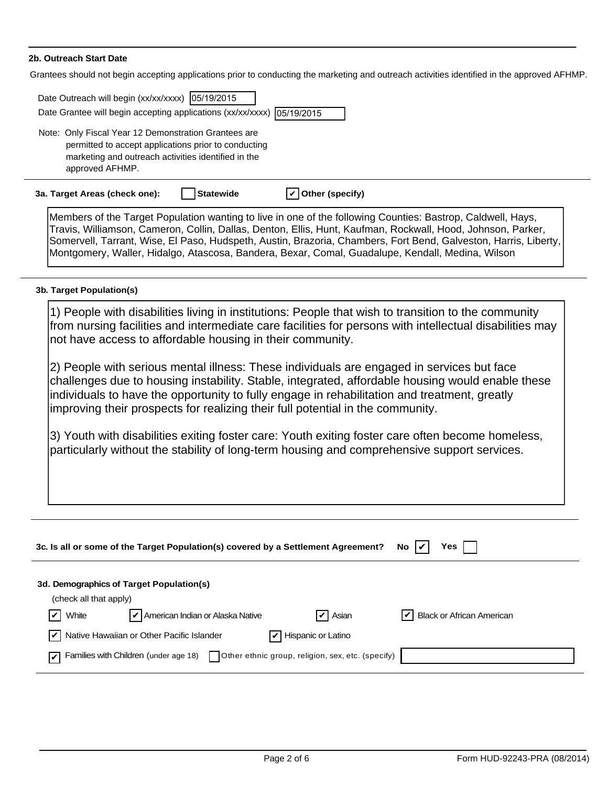### 2b. Outreach Start Date

Grantees should not begin accepting applications prior to conducting the  $\frac{1}{2}$ al publicate positivities interestities in the proper **Contract Contract** 

| irantees should not begin accepting applications prior to conducting the marketing and outreach activities identified in the approved AFHMP. |                                                                                                                                                                                                                                                                                                                                                                                                                                                   |  |  |  |
|----------------------------------------------------------------------------------------------------------------------------------------------|---------------------------------------------------------------------------------------------------------------------------------------------------------------------------------------------------------------------------------------------------------------------------------------------------------------------------------------------------------------------------------------------------------------------------------------------------|--|--|--|
|                                                                                                                                              | Date Outreach will begin (xx/xx/xxxx) 05/19/2015<br>Date Grantee will begin accepting applications (xx/xx/xxxx) 05/19/2015                                                                                                                                                                                                                                                                                                                        |  |  |  |
|                                                                                                                                              | Note: Only Fiscal Year 12 Demonstration Grantees are<br>permitted to accept applications prior to conducting<br>marketing and outreach activities identified in the<br>approved AFHMP.                                                                                                                                                                                                                                                            |  |  |  |
|                                                                                                                                              | <b>Statewide</b><br>Other (specify)<br>3a. Target Areas (check one):                                                                                                                                                                                                                                                                                                                                                                              |  |  |  |
|                                                                                                                                              | Members of the Target Population wanting to live in one of the following Counties: Bastrop, Caldwell, Hays,<br>Travis, Williamson, Cameron, Collin, Dallas, Denton, Ellis, Hunt, Kaufman, Rockwall, Hood, Johnson, Parker,<br>Somervell, Tarrant, Wise, El Paso, Hudspeth, Austin, Brazoria, Chambers, Fort Bend, Galveston, Harris, Liberty,<br>Montgomery, Waller, Hidalgo, Atascosa, Bandera, Bexar, Comal, Guadalupe, Kendall, Medina, Wilson |  |  |  |
|                                                                                                                                              | 3b. Target Population(s)                                                                                                                                                                                                                                                                                                                                                                                                                          |  |  |  |
|                                                                                                                                              | 1) People with disabilities living in institutions: People that wish to transition to the community<br>from nursing facilities and intermediate care facilities for persons with intellectual disabilities may<br>not have access to affordable housing in their community.                                                                                                                                                                       |  |  |  |
|                                                                                                                                              | 2) People with serious mental illness: These individuals are engaged in services but face<br>challenges due to housing instability. Stable, integrated, affordable housing would enable these<br>individuals to have the opportunity to fully engage in rehabilitation and treatment, greatly<br>improving their prospects for realizing their full potential in the community.                                                                   |  |  |  |
|                                                                                                                                              | 3) Youth with disabilities exiting foster care: Youth exiting foster care often become homeless,<br>particularly without the stability of long-term housing and comprehensive support services.                                                                                                                                                                                                                                                   |  |  |  |
|                                                                                                                                              |                                                                                                                                                                                                                                                                                                                                                                                                                                                   |  |  |  |

|                                | 3c. Is all or some of the Target Population(s) covered by a Settlement Agreement?         |                            | Yes<br>No.                       |
|--------------------------------|-------------------------------------------------------------------------------------------|----------------------------|----------------------------------|
|                                | 3d. Demographics of Target Population(s)                                                  |                            |                                  |
| (check all that apply)         |                                                                                           |                            |                                  |
| $\vert \mathbf{v} \vert$ White | $\vert\mathbf{v}\vert$ American Indian or Alaska Native                                   | $\boxed{\mathbf{v}}$ Asian | <b>Black or African American</b> |
| lv I                           | Native Hawaiian or Other Pacific Islander                                                 | Hispanic or Latino         |                                  |
|                                | Families with Children (under age 18)   Other ethnic group, religion, sex, etc. (specify) |                            |                                  |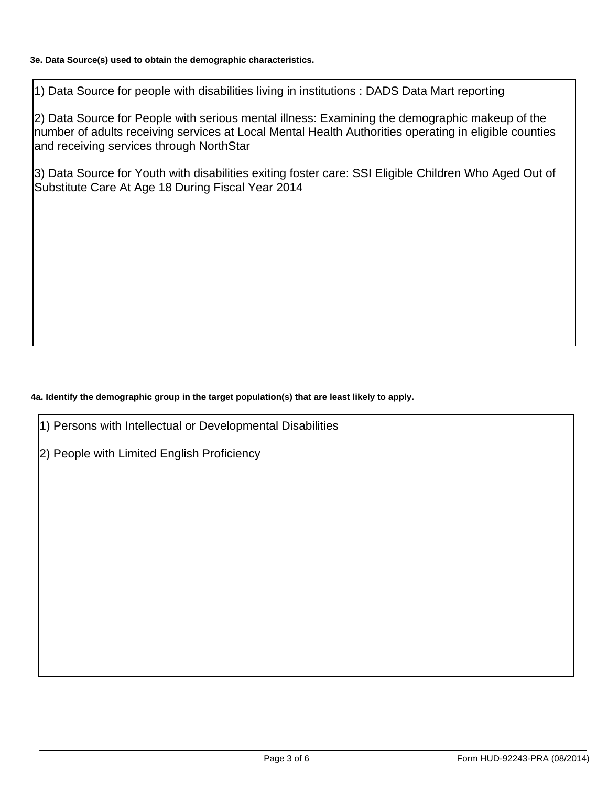## 3e. Data Source(s) used to obtain the demographic characteristics.

1) Data Source for people with disabilities living in institutions : DADS Data Mart reporting

2) Data Source for People with serious mental illness: Examining the demographic makeup of the number of adults receiving services at Local Mental Health Authorities operating in eligible counties and receiving services through NorthStar

3) Data Source for Youth with disabilities exiting foster care: SSI Eligible Children Who Aged Out of Substitute Care At Age 18 During Fiscal Year 2014

# 4a. Identify the demographic group in the target population(s) that are least likely to apply.

1) Persons with Intellectual or Developmental Disabilities

2) People with Limited English Proficiency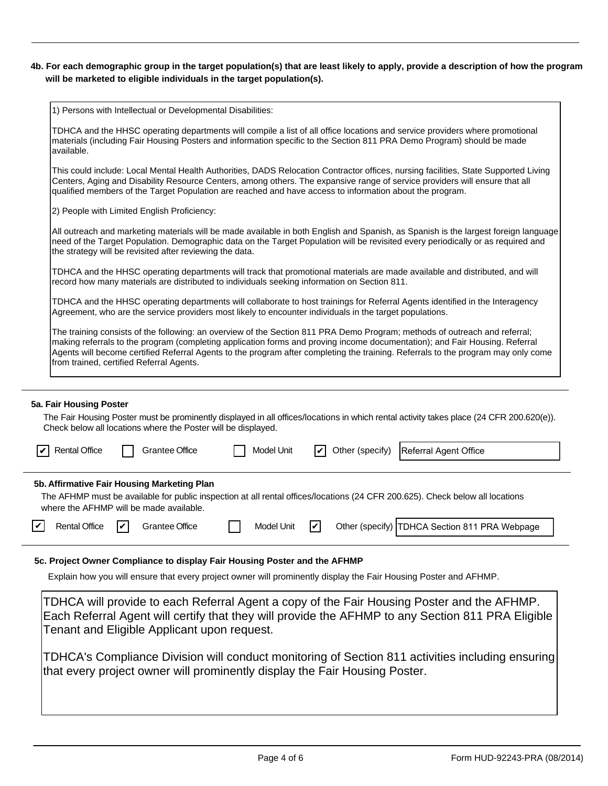### 4b. For each demographic group in the target population(s) that are least likely to apply, provide a description of how the program will be marketed to eligible individuals in the target population(s).

1) Persons with Intellectual or Developmental Disabilities:

|    | TDHCA and the HHSC operating departments will compile a list of all office locations and service providers where promotional<br>materials (including Fair Housing Posters and information specific to the Section 811 PRA Demo Program) should be made<br>available.                                                                                                                                                                       |  |
|----|--------------------------------------------------------------------------------------------------------------------------------------------------------------------------------------------------------------------------------------------------------------------------------------------------------------------------------------------------------------------------------------------------------------------------------------------|--|
|    | This could include: Local Mental Health Authorities, DADS Relocation Contractor offices, nursing facilities, State Supported Living<br>Centers, Aging and Disability Resource Centers, among others. The expansive range of service providers will ensure that all<br>qualified members of the Target Population are reached and have access to information about the program.                                                             |  |
|    | 2) People with Limited English Proficiency:                                                                                                                                                                                                                                                                                                                                                                                                |  |
|    | All outreach and marketing materials will be made available in both English and Spanish, as Spanish is the largest foreign language<br>need of the Target Population. Demographic data on the Target Population will be revisited every periodically or as required and<br>the strategy will be revisited after reviewing the data.                                                                                                        |  |
|    | TDHCA and the HHSC operating departments will track that promotional materials are made available and distributed, and will<br>record how many materials are distributed to individuals seeking information on Section 811.                                                                                                                                                                                                                |  |
|    | TDHCA and the HHSC operating departments will collaborate to host trainings for Referral Agents identified in the Interagency<br>Agreement, who are the service providers most likely to encounter individuals in the target populations.                                                                                                                                                                                                  |  |
|    | The training consists of the following: an overview of the Section 811 PRA Demo Program; methods of outreach and referral;<br>making referrals to the program (completing application forms and proving income documentation); and Fair Housing. Referral<br>Agents will become certified Referral Agents to the program after completing the training. Referrals to the program may only come<br>from trained, certified Referral Agents. |  |
|    | 5a. Fair Housing Poster<br>The Fair Housing Poster must be prominently displayed in all offices/locations in which rental activity takes place (24 CFR 200.620(e)).<br>Check below all locations where the Poster will be displayed.                                                                                                                                                                                                       |  |
|    | <b>Rental Office</b><br>Other (specify)<br><b>Grantee Office</b><br>Model Unit<br>Referral Agent Office                                                                                                                                                                                                                                                                                                                                    |  |
| ∣✔ | 5b. Affirmative Fair Housing Marketing Plan<br>The AFHMP must be available for public inspection at all rental offices/locations (24 CFR 200.625). Check below all locations<br>where the AFHMP will be made available.<br><b>Rental Office</b><br>Grantee Office<br>Model Unit<br>$\vert\bm{\mathsf{v}}\vert$<br>Other (specify)   TDHCA Section 811 PRA Webpage<br>V                                                                     |  |
|    | ວc. Project Owner Compliance to display Fair Housing Poster and the AFHMP<br>Explain how you will ensure that every project owner will prominently display the Fair Housing Poster and AFHMP.                                                                                                                                                                                                                                              |  |
|    | TDHCA will provide to each Referral Agent a copy of the Fair Housing Poster and the AFHMP.<br>Each Referral Agent will certify that they will provide the AFHMP to any Section 811 PRA Eligible<br>Tenant and Eligible Applicant upon request.                                                                                                                                                                                             |  |

TDHCA's Compliance Division will conduct monitoring of Section 811 activities including ensuring that every project owner will prominently display the Fair Housing Poster.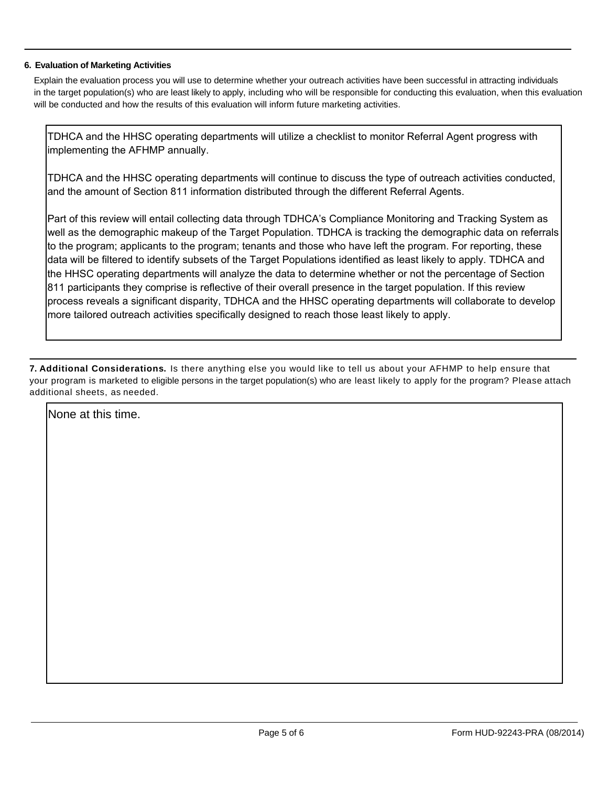### 6. Evaluation of Marketing Activities

Explain the evaluation process you will use to determine whether your outreach activities have been successful in attracting individuals in the target population(s) who are least likely to apply, including who will be responsible for conducting this evaluation, when this evaluation will be conducted and how the results of this evaluation will inform future marketing activities.

TDHCA and the HHSC operating departments will utilize a checklist to monitor Referral Agent progress with implementing the AFHMP annually.

TDHCA and the HHSC operating departments will continue to discuss the type of outreach activities conducted, and the amount of Section 811 information distributed through the different Referral Agents.

Part of this review will entail collecting data through TDHCA's Compliance Monitoring and Tracking System as well as the demographic makeup of the Target Population. TDHCA is tracking the demographic data on referrals to the program; applicants to the program; tenants and those who have left the program. For reporting, these data will be filtered to identify subsets of the Target Populations identified as least likely to apply. TDHCA and the HHSC operating departments will analyze the data to determine whether or not the percentage of Section 811 participants they comprise is reflective of their overall presence in the target population. If this review process reveals a significant disparity. TDHCA and the HHSC operating departments will collaborate to develop more tailored outreach activities specifically designed to reach those least likely to apply.

7. Additional Considerations. Is there anything else you would like to tell us about your AFHMP to help ensure that your program is marketed to eligible persons in the target population(s) who are least likely to apply for the program? Please attach additional sheets, as needed.

None at this time.